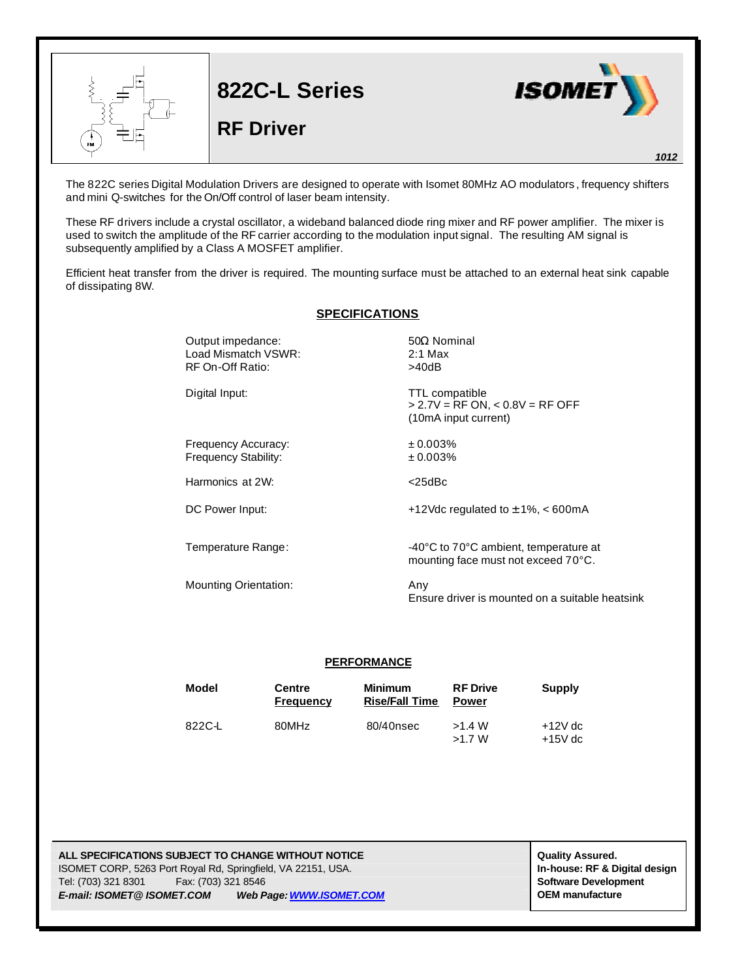

The 822C series Digital Modulation Drivers are designed to operate with Isomet 80MHz AO modulators , frequency shifters and mini Q-switches for the On/Off control of laser beam intensity.

These RF drivers include a crystal oscillator, a wideband balanced diode ring mixer and RF power amplifier. The mixer is used to switch the amplitude of the RF carrier according to the modulation input signal. The resulting AM signal is subsequently amplified by a Class A MOSFET amplifier.

Efficient heat transfer from the driver is required. The mounting surface must be attached to an external heat sink capable of dissipating 8W.

## **SPECIFICATIONS**

| Output impedance:<br>Load Mismatch VSWR:<br>RF On-Off Ratio: | $50\Omega$ Nominal<br>$2:1$ Max<br>>40dB<br><b>TTL compatible</b><br>$> 2.7V = RF ON$ , < 0.8V = RF OFF<br>(10mA input current) |  |  |
|--------------------------------------------------------------|---------------------------------------------------------------------------------------------------------------------------------|--|--|
| Digital Input:                                               |                                                                                                                                 |  |  |
| Frequency Accuracy:<br><b>Frequency Stability:</b>           | ± 0.003%<br>± 0.003%                                                                                                            |  |  |
| Harmonics at 2W:                                             | $<$ 25dBc                                                                                                                       |  |  |
| DC Power Input:                                              | +12Vdc regulated to $\pm$ 1%, < 600mA                                                                                           |  |  |
| Temperature Range:                                           | -40°C to 70°C ambient, temperature at<br>mounting face must not exceed 70°C.                                                    |  |  |
| <b>Mounting Orientation:</b>                                 | Any<br>Ensure driver is mounted on a suitable heatsink                                                                          |  |  |

## **PERFORMANCE**

| Model  | Centre<br><b>Frequency</b> | <b>Minimum</b><br><b>Rise/Fall Time</b> | <b>RF</b> Drive<br><b>Power</b> | Supply                 |
|--------|----------------------------|-----------------------------------------|---------------------------------|------------------------|
| 822C-L | 80MHz                      | 80/40nsec                               | >1.4 W<br>>1.7 W                | $+12V$ dc<br>$+15V$ dc |

ALL SPECIFICATIONS SUBJECT TO CHANGE WITHOUT NOTICE **All and the state of the state of the state of the state of the state of the state of the state of the state of the state of the state of the state of the state of the s** ISOMET CORP, 5263 Port Royal Rd, Springfield, VA 22151, USA. **In-house: RF & Digital design** Tel: (703) 321 8301 Fax: (703) 321 8546 **Software Development** *E-mail: ISOMET@ ISOMET.COM Web Page: WWW.ISOMET.COM* **OEM manufacture**